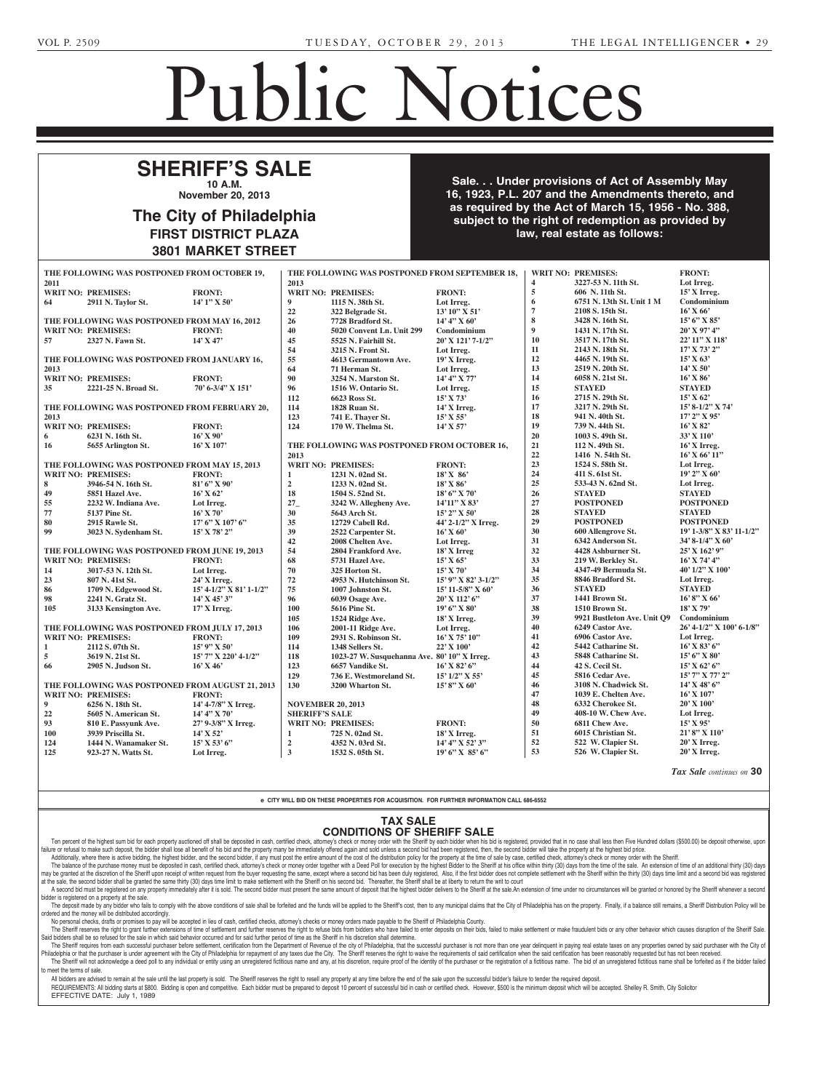## Public Notices

nue, Malvern, PA 19355.

**WRAY, BARBARA ANN** -- <u>Evento Arabia (1809), Executor, 1809, 1809, 1809, 1809, 1809, 1809, 1809, 1809, 1809, 1809, 1809, 1809, 1809, 1</u>

## **SHERIFF'S SALE 10 A.M.**  $\overline{\phantom{a}}$ **GODDARD, ISABEL (also**

**November 20, 2013 Divided** by **DOC** 

## **The City of Philadelphia FIRST DISTRICT PLAZA** 3801 MARKET STREET Estates and Fiduciaries Code which requires advertisement  $\overline{\phantom{a}}$  od **Dhiladolphic** y or Prinadelphia DISTRICT PLAZA WANNEI SINEEI

**Sale... Under provisions of Act of Assembly May 16, 1923, P.L. 207 and the Amendments thereto, and** as required by the Act of March 15, 1956 - No. 388, subject to the right of redemption as provided by<br> **10:11-35 Contribute of follows law, real estate as follows: VAZQUEZ, MARGARITA** -- **Eatted Avenue Avenue Ave-Streets and Second Ave-Streets and Services** and Services and Services of the Council o **Public Heat** Philadelphia will hold a Public Hearing on **Tuesday, October 29, 2013,**  ${\bf c}$ t to the right of redemption as provided by **the following** 

City Council

**130384** An Ordinance authorizing the termination of parking regulations on Buist Avenue, from 69th Street to 68th Street, south side.

|                                                  | THE FOLLOWING WAS POSTPONED FROM OCTOBER 19,<br><b>WRIT NO: PREMISES:</b><br><b>FRONT:</b><br>THE FOLLOWING WAS POSTPONED FROM SEPTEMBER 18. |                                   |                       |                                              |                       |                         |                                      |                               |  |  |
|--------------------------------------------------|----------------------------------------------------------------------------------------------------------------------------------------------|-----------------------------------|-----------------------|----------------------------------------------|-----------------------|-------------------------|--------------------------------------|-------------------------------|--|--|
| 2011                                             |                                                                                                                                              |                                   | 2013                  |                                              |                       | $\overline{\mathbf{4}}$ | 3227-53 N. 11th St.                  | Lot Irreg.                    |  |  |
|                                                  |                                                                                                                                              | <b>FRONT:</b>                     |                       | <b>WRIT NO: PREMISES:</b>                    |                       | $\sqrt{5}$              | 606 N. 11th St.                      | 15' X Irreg.                  |  |  |
|                                                  | <b>WRIT NO: PREMISES:</b>                                                                                                                    |                                   | $\boldsymbol{9}$      |                                              | <b>FRONT:</b>         | 6                       | 6751 N. 13th St. Unit 1 M            | Condominium                   |  |  |
| 64                                               | 2911 N. Taylor St.                                                                                                                           | $14'1''$ X 50'                    |                       | 1115 N. 38th St.                             | Lot Irreg.            | $7\phantom{.0}$         |                                      |                               |  |  |
|                                                  |                                                                                                                                              |                                   | 22                    | 322 Belgrade St.                             | 13' 10" X 51'         | 8                       | 2108 S. 15th St.<br>3428 N. 16th St. | $16'$ X 66'<br>$15'$ 6" X 85" |  |  |
|                                                  | THE FOLLOWING WAS POSTPONED FROM MAY 16, 2012                                                                                                |                                   | 26                    | 7728 Bradford St.                            | $14' 4''$ X 60'       | $\boldsymbol{9}$        |                                      |                               |  |  |
|                                                  | <b>WRIT NO: PREMISES:</b>                                                                                                                    | <b>FRONT:</b>                     | 40                    | 5020 Convent Ln. Unit 299                    | Condominium           |                         | 1431 N. 17th St.                     | $20'$ X 97' 4"                |  |  |
| 57                                               | 2327 N. Fawn St.                                                                                                                             | $14'$ X 47'                       | 45                    | 5525 N. Fairhill St.                         | 20' X 121' 7-1/2"     | 10<br>11                | 3517 N. 17th St.                     | 22' 11" X 118'                |  |  |
|                                                  |                                                                                                                                              |                                   | 54                    | 3215 N. Front St.                            | Lot Irreg.            |                         | 2143 N. 18th St.                     | $17'$ X 73' 2"                |  |  |
| THE FOLLOWING WAS POSTPONED FROM JANUARY 16,     |                                                                                                                                              |                                   | 55                    | 4613 Germantown Ave.                         | $19'X$ Irreg.         | 12                      | 4465 N. 19th St.                     | $15'$ X 63'                   |  |  |
| 2013                                             |                                                                                                                                              |                                   | 64                    | 71 Herman St.                                | Lot Irreg.            | 13                      | 2519 N. 20th St.                     | $14'$ X 50'                   |  |  |
|                                                  | <b>WRIT NO: PREMISES:</b>                                                                                                                    | <b>FRONT:</b>                     | 90                    | 3254 N. Marston St.                          | 14' 4" X 77'          | 14                      | 6058 N. 21st St.                     | $16'$ X $86'$                 |  |  |
| 35                                               | 2221-25 N. Broad St.                                                                                                                         | $70'$ 6-3/4" X 151'               | 96                    | 1516 W. Ontario St.                          | Lot Irreg.            | 15                      | <b>STAYED</b>                        | <b>STAYED</b>                 |  |  |
|                                                  |                                                                                                                                              |                                   | 112                   | 6623 Ross St.                                | $15'$ X 73'           | 16                      | 2715 N. 29th St.                     | $15'$ X 62'                   |  |  |
| THE FOLLOWING WAS POSTPONED FROM FEBRUARY 20,    |                                                                                                                                              |                                   | 114                   | 1828 Ruan St.                                | $14'$ X Irreg.        | 17                      | 3217 N. 29th St.                     | 15' 8-1/2" X 74'              |  |  |
| 2013                                             |                                                                                                                                              |                                   | 123                   | 741 E. Thaver St.                            | $15'$ X 55'           | 18                      | 941 N. 40th St.                      | 17' 2" X 95'                  |  |  |
|                                                  | <b>WRIT NO: PREMISES:</b>                                                                                                                    | <b>FRONT:</b>                     | 124                   | 170 W. Thelma St.                            | $14'$ X 57'           | 19                      | 739 N. 44th St.                      | 16' X 82'                     |  |  |
| 6                                                | 6231 N. 16th St.                                                                                                                             | $16'$ X 90'                       |                       |                                              |                       | 20                      | 1003 S. 49th St.                     | 33' X 110'                    |  |  |
| 16                                               | 5655 Arlington St.                                                                                                                           | $16'$ X $107'$                    |                       | THE FOLLOWING WAS POSTPONED FROM OCTOBER 16, |                       | 21                      | 112 N. 49th St.                      | 16' X Irreg.                  |  |  |
|                                                  |                                                                                                                                              |                                   | 2013                  |                                              |                       | 22                      | 1416 N. 54th St.                     | $16'$ X $66'$ $11''$          |  |  |
|                                                  | THE FOLLOWING WAS POSTPONED FROM MAY 15, 2013                                                                                                |                                   |                       | <b>WRIT NO: PREMISES:</b>                    | <b>FRONT:</b>         | 23                      | 1524 S. 58th St.                     | Lot Irreg.                    |  |  |
|                                                  | <b>WRIT NO: PREMISES:</b>                                                                                                                    | <b>FRONT:</b>                     | $\mathbf{1}$          | 1231 N. 02nd St.                             | 18' X 86'             | 24                      | 411 S. 61st St.                      | 19' 2" X 60'                  |  |  |
| 8                                                | 3946-54 N. 16th St.                                                                                                                          | $81'6''$ X 90'                    | $\overline{2}$        | 1233 N. 02nd St.                             | 18' X 86'             | 25                      | 533-43 N. 62nd St.                   | Lot Irreg.                    |  |  |
| 49                                               | 5851 Hazel Ave.                                                                                                                              | $16'$ X 62'                       | 18                    | 1504 S. 52nd St.                             | $18'6''$ X 70'        | 26                      | <b>STAYED</b>                        | <b>STAYED</b>                 |  |  |
| 55                                               | 2232 W. Indiana Ave.                                                                                                                         | Lot Irreg.                        | $27_{-}$              | 3242 W. Allegheny Ave.                       | 14'11" X 83'          | 27                      | <b>POSTPONED</b>                     | <b>POSTPONED</b>              |  |  |
| 77                                               | 5137 Pine St.                                                                                                                                | $16'$ X 70'                       | 30                    | 5643 Arch St.                                | $15'$ 2" X 50'        | 28                      | <b>STAYED</b>                        | <b>STAYED</b>                 |  |  |
| 80                                               | <b>2915 Rawle St.</b>                                                                                                                        | $17'$ 6" X $107'$ 6"              | 35                    | 12729 Cabell Rd.                             | 44' 2-1/2" X Irreg.   | 29                      | <b>POSTPONED</b>                     | <b>POSTPONED</b>              |  |  |
| 99                                               | 3023 N. Sydenham St.                                                                                                                         | $15'$ X 78' 2"                    | 39                    | 2522 Carpenter St.                           | $16'$ X 60'           | 30                      | 600 Allengrove St.                   | 19' 1-3/8" X 83' 11-1/2"      |  |  |
|                                                  |                                                                                                                                              |                                   | 42                    | 2008 Chelten Ave.                            | Lot Irreg.            | 31                      | 6342 Anderson St.                    | 34' 8-1/4" X 60'              |  |  |
|                                                  | THE FOLLOWING WAS POSTPONED FROM JUNE 19, 2013                                                                                               |                                   | 54                    | 2804 Frankford Ave.                          | $18'X$ Irreg          | 32                      | 4428 Ashburner St.                   | 25' X 162' 9"                 |  |  |
|                                                  | <b>WRIT NO: PREMISES:</b>                                                                                                                    | <b>FRONT:</b>                     | 68                    | 5731 Hazel Ave.                              | $15'$ X 65'           | 33                      | 219 W. Berkley St.                   | $16'$ X 74' 4"                |  |  |
| 14                                               | 3017-53 N. 12th St.                                                                                                                          | Lot Irreg.                        | 70                    | 325 Horton St.                               | $15'$ X 70'           | 34                      | 4347-49 Bermuda St.                  | 40' 1/2" X 100'               |  |  |
| 23                                               | 807 N. 41st St.                                                                                                                              | 24' X Irreg.                      | 72                    | 4953 N. Hutchinson St.                       | $15'$ 9" X 82' 3-1/2" | 35                      | 8846 Bradford St.                    | Lot Irreg.                    |  |  |
| 86                                               | 1709 N. Edgewood St.                                                                                                                         | $15' 4 - 1/2''$ X 81' $1 - 1/2''$ | 75                    | 1007 Johnston St.                            | $15'$ 11-5/8" X 60'   | 36                      | <b>STAYED</b>                        | <b>STAYED</b>                 |  |  |
| 98                                               | 2241 N. Gratz St.                                                                                                                            | $14'$ X $45'$ 3"                  | 96                    | 6039 Osage Ave.                              | 20' X 112' 6"         | 37                      | 1441 Brown St.                       | $16'8''$ X 66'                |  |  |
| 105                                              | 3133 Kensington Ave.                                                                                                                         | $17'X$ Irreg.                     | 100                   | 5616 Pine St.                                | $19'6''$ X 80'        | 38                      | 1510 Brown St.                       | $18'$ X 79'                   |  |  |
|                                                  |                                                                                                                                              |                                   | 105                   | 1524 Ridge Ave.                              | 18' X Irreg.          | 39                      | 9921 Bustleton Ave. Unit Q9          | Condominium                   |  |  |
| THE FOLLOWING WAS POSTPONED FROM JULY 17, 2013   |                                                                                                                                              |                                   | 106                   | 2001-11 Ridge Ave.                           | Lot Irreg.            | 40                      | 6249 Castor Ave.                     | 26' 4-1/2" X 100' 6-1/8"      |  |  |
|                                                  | <b>WRIT NO: PREMISES:</b>                                                                                                                    | <b>FRONT:</b>                     | 109                   | 2931 S. Robinson St.                         | $16'$ X 75' $10''$    | 41                      | 6906 Castor Ave.                     | Lot Irreg.                    |  |  |
| $\mathbf{1}$                                     | 2112 S. 07th St.                                                                                                                             | $15'$ 9" X 50'                    | 114                   | 1348 Sellers St.                             | 22' X 100'            | 42                      | 5442 Catharine St.                   | $16'$ X 83' 6"                |  |  |
| 5                                                | 3619 N. 21st St.                                                                                                                             | 15' 7" X 220' 4-1/2"              | 118                   | 1023-27 W. Susquehanna Ave. 80' 10" X Irreg. |                       | 43                      | 5848 Catharine St.                   | $15'6''$ X 80'                |  |  |
| 66                                               | 2905 N. Judson St.                                                                                                                           | $16'$ X 46'                       | 123                   | 6657 Vandike St.                             | $16'$ X 82' 6"        | 44                      | 42 S. Cecil St.                      | $15'$ X 62' 6"                |  |  |
|                                                  |                                                                                                                                              |                                   | 129                   | 736 E. Westmoreland St.                      | $15'$ $1/2''$ X 55'   | 45                      | 5816 Cedar Ave.                      | 15' 7" X 77' 2"               |  |  |
| THE FOLLOWING WAS POSTPONED FROM AUGUST 21, 2013 |                                                                                                                                              |                                   | 130                   | 3200 Wharton St.                             | $15'8''$ X 60'        | 46                      | 3108 N. Chadwick St.                 | $14'$ X 48' 6"                |  |  |
|                                                  | <b>WRIT NO: PREMISES:</b>                                                                                                                    | <b>FRONT:</b>                     |                       |                                              |                       | 47                      | 1039 E. Chelten Ave.                 | $16'$ X $107'$                |  |  |
| 9                                                | 6256 N. 18th St.                                                                                                                             | 14' 4-7/8" X Irreg.               |                       | <b>NOVEMBER 20, 2013</b>                     |                       | 48                      | 6332 Cherokee St.                    | 20' X 100'                    |  |  |
| 22                                               | 5605 N. American St.                                                                                                                         | 14' 4" X 70'                      | <b>SHERIFF'S SALE</b> |                                              |                       | 49                      | 408-10 W. Chew Ave.                  | Lot Irreg.                    |  |  |
| 93                                               | 810 E. Passyunk Ave.                                                                                                                         | 27' 9-3/8" X Irreg.               |                       | <b>WRIT NO: PREMISES:</b>                    | <b>FRONT:</b>         | 50                      | 6811 Chew Ave.                       | $15'$ X 95'                   |  |  |
| 100                                              | 3939 Priscilla St.                                                                                                                           | 14' X 52'                         | $\mathbf{1}$          | 725 N. 02nd St.                              | $18'$ X Irreg.        | 51                      | 6015 Christian St.                   | 21'8" X 110'                  |  |  |
| 124                                              | 1444 N. Wanamaker St.                                                                                                                        | $15'$ X 53' 6"                    | $\mathbf 2$           | 4352 N. 03rd St.                             | $14'$ 4" X 52' 3"     | 52                      | 522 W. Clapier St.                   | 20' X Irreg.                  |  |  |
| 125                                              | 923-27 N. Watts St.                                                                                                                          | Lot Irreg.                        | $\mathbf{3}$          | 1532 S. 05th St.                             | $19'6''$ X $85'6''$   | 53                      | 526 W. Clapier St.                   | 20' X Irreg.                  |  |  |
|                                                  |                                                                                                                                              |                                   |                       |                                              |                       |                         |                                      |                               |  |  |

*Tax Sale continues on* **30**

e CITY WILL BID ON THESE PROPERTIES FOR ACQUISITION. FOR FURTHER INFORMATION CALL 686-6552 e CITY WILL BID ON THESE PROPERTIES FOR ACQUISITION. FOR FURTHER IN available in the Office of the

## TAX SALE **CONDITIONS OF SHERIFF SALE** Jr., Attorney, DePasquale Law

Ten percent of the highest sum bid for each property auctioned off shall be deposited in cash, certified check, attorney's check or money order with the Sheriff by each bidder when his bid is registered, provided that in n failure or refusal to make such deposit, the bidder shall lose all benefit of his bid and the property many be immediately offered again and sold unless a second bid had been registered, then, the second bidder will take t

Additionally, where there is active bidding, the highest bidder, and the second bidder, if any must post the entire amount of the cost of the distribution policy for the property at the time of sale by case, certified chec The balance of the purchase money must be deposited in cash, certified check, attorney's check or money order together with a Deed Poll for execution by the highest Bidder to the Sheriff at his office within thirty (30) da at the sale, the second bidder shall be granted the same thirty (30) days time limit to make settlement with the Sheriff on his second bid. Thereafter, the Sheriff shall be at liberty to return the writ to court at the sal Ine balance of the purchase money must be deposited in cash, certified check, attorney's check or money order t<br>I may be granted at the discretion of the Sheriff upon receipt of written request from the buyer requesting th

A second bidder and the second bidder shall be granted at all the me and the with which was between the second bidder must present the same amount of deposit that the highest bidder delivers to the Sheriff at the sale. An | bidder is registered on a property at the sale.<br>The depeat mode by any hidder who foil atory and it to botal. The booding bidder made problem and

The deposit made by any bidder who fails to comply with the above conditions of sale shall be forfeited and the funds will be applied to the Sheriff's cost, then to any municipal claims that the City of Philadelphia has on The deposit made by any bidder who rails to comp<br>ordered and the money will be distributed accordingly. red and the money will be distributed accordingly.<br>No personal checks, drafts or promises to pay will be accepted in lieu of cash, certified checks, attorney's checks or money orders made payable to the Sheriff of Philadel

ey's checks

Raivetz, Atty., Alexander & Pelli, LLC, 1608 Walnut St., Ste. 900,

Pasquale, Administrator, 2332-

ine Shell the one of the one of the constant and the original that the constant and the constant and the constant of the second of the second of the constant of the constant and the constant of the constant of the constant Said bidders shall be so refused for the sale in which said behavior occurred and for said further period of time as the Sheriff in his discretion shall determine. Salu blooders shall be so relused for the sale in which salu behavior occurred and for salu further period of untiler period of unreles the solent and here selection from the Department of Revenue of the city of Philadelph

Philadelphia or that the purchaser is under agreement with the City of Philadelphia for repayment of any taxes due the City. The Sheriff reserves the right to waive the requirements of said certification when the said cert The Sheriff will not acknowledge a deed poll to any individual or entity using an unregistered fictitious name and any, at his discretion, require proof of the identity of the purchaser or the registration of a fictitious to meet the terms of sale. total of only doing an amoglotorod homodo hanto and c

All bidders are advised to remain at the sale until the last property is sold. The Sheriff reserves the right to resell any property at any time before the end of the sale upon the successful bidder's failure to tender the REQUIREMENTS: All bidding starts at \$800. Bidding is open and competitive. Each bidder must be prepared to deposit 10 percent of successful bid in cash or certified check. However, \$500 is the minimum deposit which will be

EFFECTIVE DATE: July 1, 1989  $\frac{1}{\sqrt{2}}$ 

Atty., P. O. Box 397, Drexel Hill,

**CURLETT, HOWARD DAVID, HOWARD DAVID, HOWARD DAVID, HOWARD DAVID, HOWARD DAVID, HOWARD DAVID, HOWARD DAVID, HOWARD DAVID, HOWARD DAVID, HOWARD DAVID, HOWARD DAVID, HOWARD DAVID, HOWARD DAVID, HOWARD DAVID, HOWARD DAVID, HO JR., (also known as HOWARD D. CURLETT, JR.)** -- Howard D.

10-24-3

PA 19026.